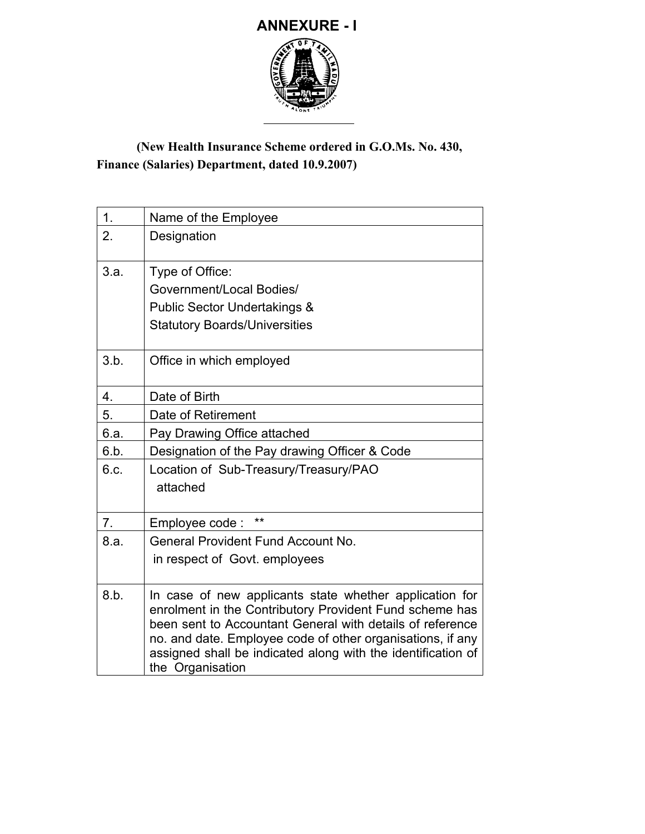

## **(New Health Insurance Scheme ordered in G.O.Ms. No. 430, Finance (Salaries) Department, dated 10.9.2007)**

| 1.   | Name of the Employee                                                                                                                                                                                                                                                                                                              |  |  |  |  |
|------|-----------------------------------------------------------------------------------------------------------------------------------------------------------------------------------------------------------------------------------------------------------------------------------------------------------------------------------|--|--|--|--|
| 2.   | Designation                                                                                                                                                                                                                                                                                                                       |  |  |  |  |
| 3.a. | Type of Office:<br>Government/Local Bodies/<br><b>Public Sector Undertakings &amp;</b><br><b>Statutory Boards/Universities</b>                                                                                                                                                                                                    |  |  |  |  |
| 3.b. | Office in which employed                                                                                                                                                                                                                                                                                                          |  |  |  |  |
| 4.   | Date of Birth                                                                                                                                                                                                                                                                                                                     |  |  |  |  |
| 5.   | Date of Retirement                                                                                                                                                                                                                                                                                                                |  |  |  |  |
| 6.a. | Pay Drawing Office attached                                                                                                                                                                                                                                                                                                       |  |  |  |  |
| 6.b. | Designation of the Pay drawing Officer & Code                                                                                                                                                                                                                                                                                     |  |  |  |  |
| 6.c. | Location of Sub-Treasury/Treasury/PAO<br>attached                                                                                                                                                                                                                                                                                 |  |  |  |  |
| 7.   | **<br>Employee code:                                                                                                                                                                                                                                                                                                              |  |  |  |  |
| 8.a. | <b>General Provident Fund Account No.</b><br>in respect of Govt. employees                                                                                                                                                                                                                                                        |  |  |  |  |
|      |                                                                                                                                                                                                                                                                                                                                   |  |  |  |  |
| 8.b. | In case of new applicants state whether application for<br>enrolment in the Contributory Provident Fund scheme has<br>been sent to Accountant General with details of reference<br>no. and date. Employee code of other organisations, if any<br>assigned shall be indicated along with the identification of<br>the Organisation |  |  |  |  |